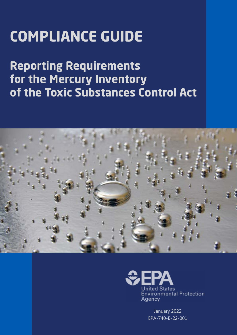# **COMPLIANCE GUIDE**

**Reporting Requirements for the Mercury Inventory of the Toxic Substances Control Act** 





January 2022 EPA-740-B-22-001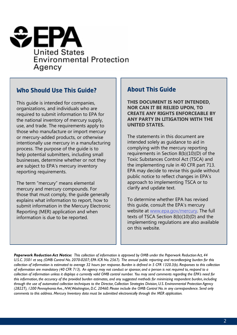

### **Who Should Use This Guide?**

This guide is intended for companies, organizations, and individuals who are required to submit information to EPA for the national inventory of mercury supply, use, and trade. The requirements apply to those who manufacture or import mercury or mercury-added products, or otherwise intentionally use mercury in a manufacturing process. The purpose of the guide is to help potential submitters, including small businesses, determine whether or not they are subject to EPA's mercury inventory reporting requirements.

The term "mercury" means elemental mercury and mercury compounds. For those that must comply, the guide generally explains what information to report, how to submit information in the Mercury Electronic Reporting (MER) application and when information is due to be reported.

#### **About This Guide**

**THIS DOCUMENT IS NOT INTENDED, NOR CAN IT BE RELIED UPON, TO CREATE ANY RIGHTS ENFORCEABLE BY ANY PARTY IN LITIGATION WITH THE UNITED STATES.** 

The statements in this document are intended solely as guidance to aid in complying with the mercury reporting requirements in Section 8(b)(10)(D) of the Toxic Substances Control Act (TSCA) and the implementing rule in 40 CFR part 713. EPA may decide to revise this guide without public notice to reflect changes in EPA's approach to implementing TSCA or to clarify and update text.

To determine whether EPA has revised this guide, consult the EPA's mercury website at [www.epa.gov/mercury](http://www.epa.gov/mercury). The full texts of TSCA Section 8(b)(10)(D) and the implementing regulations are also available on this website.

 *U.S.C. 3501 et seq. (OMB Control No. 2070-0207; EPA ICR No. 2567). The annual public reporting and recordkeeping burden for this of information are mandatory (40 CFR 713). An agency may not conduct or sponsor, and a person is not required to, respond to a collection of information unless it displays a currently valid OMB control number. You may send comments regarding the EPA's need for Paperwork Reduction Act Notice: This collection of information is approved by OMB under the Paperwork Reduction Act, 44 collection of information is estimated to average 32 hours per response. Burden is defined in 5 CFR 1320.3(b). Responses to this collection this information, the accuracy of the provided burden estimates, and any suggested methods for minimizing respondent burden, including through the use of automated collection techniques to the Director, Collection Strategies Division, U.S. Environmental Protection Agency (2822T), 1200 Pennsylvania Ave., NW,Washington, D.C. 20460. Please include the OMB Control No. in any correspondence. Send only comments to this address. Mercury Inventory data must be submitted electronically through the MER application.*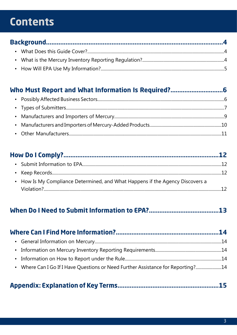# **Contents**

### 

| • How Is My Compliance Determined, and What Happens if the Agency Discovers a |  |
|-------------------------------------------------------------------------------|--|
|                                                                               |  |

### 

| • Where Can I Go If I Have Questions or Need Further Assistance for Reporting?14 |  |
|----------------------------------------------------------------------------------|--|
|                                                                                  |  |

|--|--|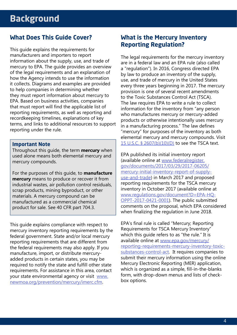### <span id="page-3-1"></span><span id="page-3-0"></span>**What Does This Guide Cover?**

This guide explains the requirements for manufacturers and importers to report information about the supply, use, and trade of mercury to EPA. The guide provides an overview of the legal requirements and an explanation of how the Agency intends to use the information it collects. Diagrams and examples are provided to help companies in determining whether they must report information about mercury to EPA. Based on business activities, companies that must report will find the applicable list of reporting requirements, as well as reporting and recordkeeping timelines, explanations of key terms, and links to additional resources to support reporting under the rule.

#### **Important Note**

Throughout this guide, the term **[mercury](#page-15-0)** when used alone means both elemental mercury and mercury compounds.

For the purposes of this guide, to **[manufacture](#page-14-1)  [mercury](#page-14-1)** means to produce or recover it from industrial wastes, air pollution control residuals, scrap products, mining byproduct, or other materials. A mercury compound can be manufactured as a commercial chemical product for sale. See 40 CFR part 704.3.

This guide explains compliance with respect to mercury inventory reporting requirements by the federal government. State and/or local mercury reporting requirements that are different from the federal requirements may also apply. If you manufacture, import, or distribute mercuryadded products in certain states, you may be required to notify the state and fulfill other state requirements. For assistance in this area, contact your state environmental agency or visit [www.](http://www.newmoa.org/prevention/mercury/imerc.cfm)  [newmoa.org/prevention/mercury/imerc.cfm.](http://www.newmoa.org/prevention/mercury/imerc.cfm)

#### <span id="page-3-2"></span>**What is the Mercury Inventory Reporting Regulation?**

The legal requirements for the mercury inventory are in a federal law and an EPA rule (also called a "regulation"). In 2016, Congress directed EPA by law to produce an inventory of the supply, use, and trade of mercury in the United States every three years beginning in 2017. The mercury provision is one of several recent amendments to the Toxic Substances Control Act (TSCA). The law requires EPA to write a rule to collect information for the inventory from "any person who manufactures mercury or mercury-added products or otherwise intentionally uses mercury in a manufacturing process." The law defines "mercury" for purposes of the inventory as both elemental mercury and mercury compounds. Visit [15 U.S.C. § 2607\(b\)\(10\)\(D\)](http://uscode.house.gov/view.xhtml?hl=false&edition=prelim&req=granuleid%3AUSC-prelim-title15-section2607&f=treesort&num=0&saved=%7CKHRpdGxlOjE1IHNlY3Rpb246MjYwNyBlZGl0aW9uOnByZWxpbSkgT1IgKGdyYW51bGVpZDpVU0MtcHJlbGltLXRpdGxlMTUtc2VjdGlvbjI2MDcp%7CdHJlZXNvcnQ%3D%7C%7C0%7Cfalse%7Cprelim) to see the TSCA text.

EPA published its initial inventory report (available online at [www.federalregister.](http://www.federalregister.gov/documents/2017/03/29/2017-06205/mercury-initial-inventory-report-of-supply-u)  [gov/documents/2017/03/29/2017-06205/](http://www.federalregister.gov/documents/2017/03/29/2017-06205/mercury-initial-inventory-report-of-supply-u) [mercury-initial-inventory-report-of-supply](http://www.federalregister.gov/documents/2017/03/29/2017-06205/mercury-initial-inventory-report-of-supply-u)[use-and-trade](http://www.federalregister.gov/documents/2017/03/29/2017-06205/mercury-initial-inventory-report-of-supply-u)) in March 2017 and proposed reporting requirements for the TSCA mercury inventory in October 2017 (available online at [www.regulations.gov/document?D=EPA-HQ-](http://www.regulations.gov/document?D=EPA-HQ-OPPT-2017-0421-0001)[OPPT-2017-0421-0001](http://www.regulations.gov/document?D=EPA-HQ-OPPT-2017-0421-0001)). The public submitted comments on the proposal, which EPA considered when finalizing the regulation in June 2018.

EPA's final rule is called "Mercury; Reporting Requirements for TSCA Mercury Inventory" which this guide refers to as "the rule." It is available online at [www.epa.gov/mercury/](https://www.epa.gov/mercury/reporting-requirements-mercury-inventory-toxic-substances-control-act) [reporting-requirements-mercury-inventory-toxic](https://www.epa.gov/mercury/reporting-requirements-mercury-inventory-toxic-substances-control-act)[substances-control-act](https://www.epa.gov/mercury/reporting-requirements-mercury-inventory-toxic-substances-control-act). It requires companies to submit their mercury information using the online Mercury Electronic Reporting (MER) application, which is organized as a simple, fill-in-the-blanks form, with drop-down menus and lists of checkbox options.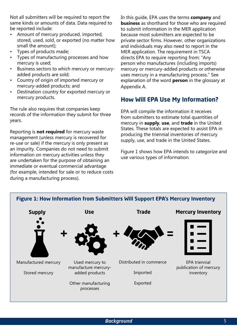Not all submitters will be required to report the same kinds or amounts of data. Data required to be reported include:

- Amount of mercury produced, imported, stored, used, sold, or exported (no matter how small the amount);
- Types of products made;
- Types of manufacturing processes and how mercury is used;
- Business sectors to which mercury or mercuryadded products are sold;
- Country of origin of imported mercury or mercury-added products; and
- Destination country for exported mercury or mercury products.

The rule also requires that companies keep records of the information they submit for three years.

Reporting is **not required** for mercury waste management (unless mercury is recovered for re-use or sale) if the mercury is only present as an impurity. Companies do not need to submit information on mercury activities unless they are undertaken for the purpose of obtaining an immediate or eventual commercial advantage (for example, intended for sale or to reduce costs during a manufacturing process).

In this guide, EPA uses the terms **company** and **business** as shorthand for those who are required to submit information in the MER application because most submitters are expected to be private sector firms. However, other organizations and individuals may also need to report in the MER application. The requirement in TSCA directs EPA to require reporting from: "Any person who manufactures (including imports) mercury or mercury-added products or otherwise uses mercury in a manufacturing process." See explanation of the word **[person](#page-15-1)** in the glossary at Appendix A.

### <span id="page-4-0"></span>**How Will EPA Use My Information?**

EPA will compile the information it receives from submitters to estimate total quantities of mercury in **supply**, **use**, and **trade** in the United States. These totals are expected to assist EPA in producing the triennial inventories of mercury supply, use, and trade in the United States.

Figure 1 shows how EPA intends to categorize and use various types of information.

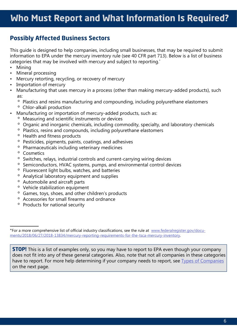### <span id="page-5-1"></span><span id="page-5-0"></span>**Possibly Affected Business Sectors**

This guide is designed to help companies, including small businesses, that may be required to submit information to EPA under the mercury inventory rule (see 40 CFR part 713). Below is a list of business categories that may be involved with mercury and subject to reporting.\*

- Mining
- Mineral processing
- Mercury retorting, recycling, or recovery of mercury
- Importation of mercury
- Manufacturing that uses mercury in a process (other than making mercury-added products), such as:
	- º Plastics and resins manufacturing and compounding, including polyurethane elastomers
	- º Chlor-alkali production
- Manufacturing or importation of mercury-added products, such as:
	- º Measuring and scientific instruments or devices
	- º Organic and inorganic chemicals, including commodity, specialty, and laboratory chemicals
	- º Plastics, resins and compounds, including polyurethane elastomers
	- º Health and fitness products
	- º Pesticides, pigments, paints, coatings, and adhesives
	- º Pharmaceuticals including veterinary medicines
	- º Cosmetics
	- º Switches, relays, industrial controls and current-carrying wiring devices
	- º Semiconductors, HVAC systems, pumps, and environmental control devices
	- º Fluorescent light bulbs, watches, and batteries
	- º Analytical laboratory equipment and supplies
	- º Automobile and aircraft parts
	- º Vehicle stabilization equipment
	- º Games, toys, shoes, and other children's products
	- º Accessories for small firearms and ordnance
	- º Products for national security

**STOP!** This is a list of examples only, so you may have to report to EPA even though your company does not fit into any of these general categories. Also, note that not all companies in these categories have to report. For more help determining if your company needs to report, see Types of Companies on the next page.

<span id="page-5-2"></span><sup>\*</sup>For a more comprehensive list of official industry classifications, see the rule at [www.federalregister.gov/docu](https://www.federalregister.gov/documents/2018/06/27/2018-13834/mercury-reporting-requirements-for-t)[ments/2018/06/27/2018-13834/mercury-reporting-requirements-for-the-tsca-mercury-inventory](https://www.federalregister.gov/documents/2018/06/27/2018-13834/mercury-reporting-requirements-for-t).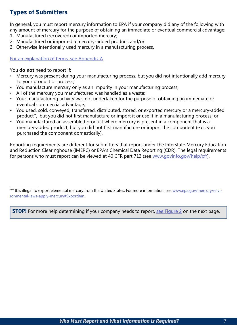### <span id="page-6-0"></span>**Types of Submitters**

In general, you must report mercury information to EPA if your company did any of the following with any amount of mercury for the purpose of obtaining an immediate or eventual commercial advantage:

- 1. Manufactured (recovered) or imported mercury;
- 2. Manufactured or imported a mercury-added product; and/or
- 3. Otherwise intentionally used mercury in a manufacturing process.

[For an explanation of terms, see Appendix A.](#page-14-2)

You **do not** need to report if:

- Mercury was present during your manufacturing process, but you did not intentionally add mercury to your product or process;
- You manufacture mercury only as an impurity in your manufacturing process;
- All of the mercury you manufactured was handled as a waste;
- Your manufacturing activity was not undertaken for the purpose of obtaining an immediate or eventual commercial advantage;
- You used, sold, conveyed, transferred, distributed, stored, or exported mercury or a mercury-added product\*\*, but you did not first manufacture or import it or use it in a manufacturing process; or
- You manufactured an assembled product where mercury is present in a component that is a mercury-added product, but you did not first manufacture or import the component (e.g., you purchased the component domestically).

Reporting requirements are different for submitters that report under the Interstate Mercury Education and Reduction Clearinghouse (IMERC) or EPA's Chemical Data Reporting (CDR). The legal requirements for persons who must report can be viewed at 40 CFR part 713 (see [www.govinfo.gov/help/cfr\)](http://www.govinfo.gov/help/cfr).

**STOP!** For more help determining if your company needs to report, [see Figure 2](#page-7-0) on the next page.

<sup>\*\*</sup> It is illegal to export elemental mercury from the United States. For more information, see [www.epa.gov/mercury/](http://www.epa.gov/mercury/environmental-laws-apply-mercury#ExportBan) envi[ronmental-laws-apply-mercury#ExportBan](http://www.epa.gov/mercury/environmental-laws-apply-mercury#ExportBan).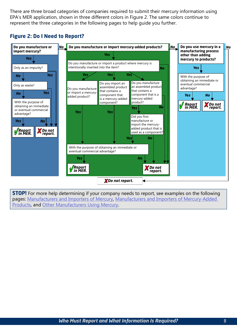There are three broad categories of companies required to submit their mercury information using EPA's MER application, shown in three different colors in Figure 2. The same colors continue to represent the three categories in the following pages to help guide you further.

#### <span id="page-7-0"></span>**Figure 2: Do I Need to Report?**



**STOP!** For more help determining if your company needs to report, see examples on the following pages: [Manufacturers and Importers of Mercury,](#page-8-1) [Manufacturers and Importers of Mercury-Added](#page-9-1)  [Products](#page-9-1), and [Other Manufacturers](#page-10-1) Using Mercury.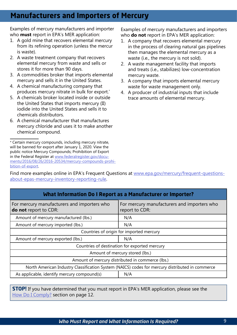### <span id="page-8-1"></span><span id="page-8-0"></span>**Manufacturers and Importers of Mercury**

Examples of mercury manufacturers and importer who **must** report in EPA's MER application:

- 1. A gold mine that recovers elemental mercury from its refining operation (unless the mercur is waste).
- 2. A waste treatment company that recovers elemental mercury from waste and sells or stores it for more than 90 days.
- 3. A commodities broker that imports elemental mercury and sells it in the United States.
- 4. A chemical manufacturing company that produces mercury nitrate in bulk for export.\*
- 5. A chemicals broker located inside or outside the United States that imports mercury (II) iodide into the United States and sells it to chemicals distributors.
- 6. A chemical manufacturer that manufactures mercury chloride and uses it to make another chemical compound.

Examples of mercury manufacturers and importers who **do not** report in EPA's MER application:

- 1. A company that recovers elemental mercury in the process of clearing natural gas pipelines then manages the elemental mercury as a waste (i.e., the mercury is not sold).
- 2. A waste management facility that imports and treats (i.e., stabilizes) low-concentration mercury waste.
- 3. A company that imports elemental mercury waste for waste management only.
- 4. A producer of industrial inputs that include trace amounts of elemental mercury.

Find more examples online in EPA's Frequent Questions at [www.epa.gov/mercury/frequent-questions](https://www.epa.gov/mercury/frequent-questions-about-epas-mercury-inventory-reporting-rule)[about-epas-mercury-inventory-reporting-rule.](https://www.epa.gov/mercury/frequent-questions-about-epas-mercury-inventory-reporting-rule)

| What Information Do I Report as a Manufacturer or Importer?                                     |                                                               |
|-------------------------------------------------------------------------------------------------|---------------------------------------------------------------|
| For mercury manufacturers and importers who<br>do not report to CDR:                            | For mercury manufacturers and importers who<br>report to CDR: |
| Amount of mercury manufactured (lbs.)                                                           | N/A                                                           |
| Amount of mercury imported (lbs.)                                                               | N/A                                                           |
| Countries of origin for imported mercury                                                        |                                                               |
| Amount of mercury exported (lbs.)                                                               | N/A                                                           |
| Countries of destination for exported mercury                                                   |                                                               |
| Amount of mercury stored (lbs.)                                                                 |                                                               |
| Amount of mercury distributed in commerce (lbs.)                                                |                                                               |
| North American Industry Classification System (NAICS) codes for mercury distributed in commerce |                                                               |
| As applicable, identify mercury compound(s)                                                     | N/A                                                           |

**STOP!** If you have determined that you must report in EPA's MER application, please see the [How Do I Comply?](#page-11-4) section on page 12.

<sup>\*</sup> Certain mercury compounds, including mercury nitrate, will be banned for export after January 1, 2020. View the public notice Mercury Compounds; Prohibition of Export in the Federal Register at [www.federalregister.gov/docu](http://www.federalregister.gov/documents/2016/08/26/2016-20534/mercury-compounds-prohibition-of-export)[ments/2016/08/26/2016-20534/mercury-compounds-prohi](http://www.federalregister.gov/documents/2016/08/26/2016-20534/mercury-compounds-prohibition-of-export)[bition-of-export](http://www.federalregister.gov/documents/2016/08/26/2016-20534/mercury-compounds-prohibition-of-export).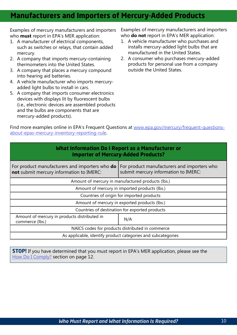### <span id="page-9-1"></span><span id="page-9-0"></span>**Manufacturers and Importers of Mercury-Added Products**

Examples of mercury manufacturers and importers who **must** report in EPA's MER application:

- 1. A manufacturer of electrical components, such as switches or relays, that contain added mercury.
- 2. A company that imports mercury-containing thermometers into the United States.
- 3. A company that places a mercury compound into hearing aid batteries.
- 4. A vehicle manufacturer who imports mercuryadded light bulbs to install in cars.
- 5. A company that imports consumer electronics devices with displays lit by fluorescent bulbs (i.e., electronic devices are assembled products and the bulbs are components that are mercury-added products).

Examples of mercury manufacturers and importers who **do not** report in EPA's MER application:

- 1. A vehicle manufacturer who purchases and installs mercury-added light bulbs that are manufactured in the United States.
- 2. A consumer who purchases mercury-added products for personal use from a company outside the United States.

Find more examples online in EPA's Frequent Questions at [www.epa.gov/mercury/frequent-questions](https://www.epa.gov/mercury/frequent-questions-about-epas-mercury-inventory-reporting-rule)[about-epas-mercury-inventory-reporting-rule.](https://www.epa.gov/mercury/frequent-questions-about-epas-mercury-inventory-reporting-rule)

| What Information Do I Report as a Manufacturer or<br><b>Importer of Mercury-Added Products?</b> |                                                                                     |
|-------------------------------------------------------------------------------------------------|-------------------------------------------------------------------------------------|
| For product manufacturers and importers who do<br>not submit mercury information to IMERC:      | For product manufacturers and importers who<br>submit mercury information to IMERC: |
| Amount of mercury in manufactured products (lbs.)                                               |                                                                                     |
| Amount of mercury in imported products (lbs.)                                                   |                                                                                     |
| Countries of origin for imported products                                                       |                                                                                     |
| Amount of mercury in exported products (lbs.)                                                   |                                                                                     |
| Countries of destination for exported products                                                  |                                                                                     |
| Amount of mercury in products distributed in<br>commerce (lbs.)                                 | N/A                                                                                 |
| NAICS codes for products distributed in commerce                                                |                                                                                     |
| As applicable, identify product categories and subcategories                                    |                                                                                     |

**STOP!** If you have determined that you must report in EPA's MER application, please see the [How Do I Comply?](#page-11-4) section on page 12.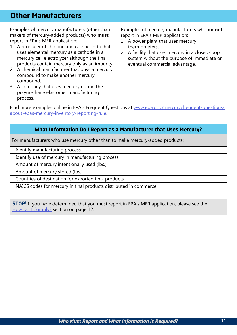### <span id="page-10-1"></span><span id="page-10-0"></span>**Other Manufacturers**

Examples of mercury manufacturers (other than makers of mercury-added products) who **must**  report in EPA's MER application:

- 1. A producer of chlorine and caustic soda that uses elemental mercury as a cathode in a mercury cell electrolyzer although the final products contain mercury only as an impurity.
- 2. A chemical manufacturer that buys a mercury compound to make another mercury compound.
- 3. A company that uses mercury during the polyurethane elastomer manufacturing process.

Examples of mercury manufacturers who **do not**  report in EPA's MER application:

- 1. A power plant that uses mercury thermometers.
- 2. A facility that uses mercury in a closed-loop system without the purpose of immediate or eventual commercial advantage.

Find more examples online in EPA's Frequent Questions at [www.epa.gov/mercury/frequent-questions](https://www.epa.gov/mercury/frequent-questions-about-epas-mercury-inventory-reporting-rule)[about-epas-mercury-inventory-reporting-rule.](https://www.epa.gov/mercury/frequent-questions-about-epas-mercury-inventory-reporting-rule)

#### **What Information Do I Report as a Manufacturer that Uses Mercury?**

For manufacturers who use mercury other than to make mercury-added products:

Identify manufacturing process

Identify use of mercury in manufacturing process

Amount of mercury intentionally used (lbs.)

Amount of mercury stored (lbs.)

Countries of destination for exported final products

NAICS codes for mercury in final products distributed in commerce

**STOP!** If you have determined that you must report in EPA's MER application, please see the [How Do I Comply?](#page-11-4) section on page 12.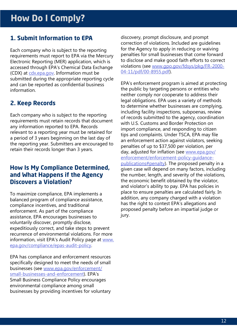### <span id="page-11-4"></span><span id="page-11-1"></span><span id="page-11-0"></span>**1. Submit Information to EPA**

Each company who is subject to the reporting requirements must report to EPA via the Mercury Electronic Reporting (MER) application, which is accessed through EPA's Chemical Data Exchange (CDX) at [cdx.epa.gov](http://cdx.epa.gov/). Information must be submitted during the appropriate reporting cycle and can be reported as confidential business information.

### <span id="page-11-2"></span>**2. Keep Records**

Each company who is subject to the reporting requirements must retain records that document any information reported to EPA. Records relevant to a reporting year must be retained for a period of 3 years beginning on the last day of the reporting year. Submitters are encouraged to retain their records longer than 3 years.

### <span id="page-11-3"></span>**How Is My Compliance Determined, and What Happens if the Agency Discovers a Violation?**

To maximize compliance, EPA implements a balanced program of compliance assistance, compliance incentives, and traditional enforcement. As part of the compliance assistance, EPA encourages businesses to voluntarily discover, promptly disclose, expeditiously correct, and take steps to prevent recurrence of environmental violations. For more information, visit EPA's Audit Policy page at [www.](http://www.epa.gov/compliance/epas-audit-policy) [epa.gov/compliance/epas-audit-policy](http://www.epa.gov/compliance/epas-audit-policy).

EPA has compliance and enforcement resources specifically designed to meet the needs of small businesses (see [www.epa.gov/enforcement/](http://www.epa.gov/enforcement/small-businesses-and-enforcement) [small-businesses-and-enforcement](http://www.epa.gov/enforcement/small-businesses-and-enforcement)). EPA's Small Business Compliance Policy encourages environmental compliance among small businesses by providing incentives for voluntary discovery, prompt disclosure, and prompt correction of violations. Included are guidelines for the Agency to apply in reducing or waiving penalties for small businesses that come forward to disclose and make good faith efforts to correct violations (see [www.gpo.gov/fdsys/pkg/FR-2000-](http://www.gpo.gov/fdsys/pkg/FR-2000-04-11/pdf/00-8955.pdf) [04-11/pdf/00-8955.pdf\)](http://www.gpo.gov/fdsys/pkg/FR-2000-04-11/pdf/00-8955.pdf).

EPA's enforcement program is aimed at protecting the public by targeting persons or entities who neither comply nor cooperate to address their legal obligations. EPA uses a variety of methods to determine whether businesses are complying, including facility inspections, subpoenas, review of records submitted to the agency, coordination with U.S. Customs and Border Protection on import compliance, and responding to citizen tips and complaints. Under TSCA, EPA may file an enforcement action against violators, seeking penalties of up to \$37,500 per violation, per day, adjusted for inflation (see [www.epa.gov/](http://www.epa.gov/enforcement/enforcement-policy-guidance-publications#penalty)  [enforcement/enforcement-policy-guidance](http://www.epa.gov/enforcement/enforcement-policy-guidance-publications#penalty)[publications#penalty\)](http://www.epa.gov/enforcement/enforcement-policy-guidance-publications#penalty). The proposed penalty in a given case will depend on many factors, including the number, length, and severity of the violations, the economic benefit obtained by the violator, and violator's ability to pay. EPA has policies in place to ensure penalties are calculated fairly. In addition, any company charged with a violation has the right to contest EPA's allegations and proposed penalty before an impartial judge or jury.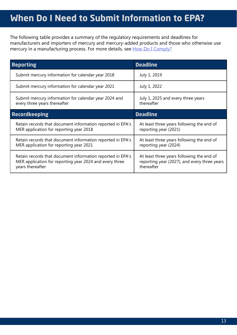# <span id="page-12-0"></span>**When Do I Need to Submit Information to EPA?**

The following table provides a summary of the regulatory requirements and deadlines for manufacturers and importers of mercury and mercury-added products and those who otherwise use mercury in a manufacturing process. For more details, see How Do I Comply?

| <b>Reporting</b>                                                                                      | <b>Deadline</b>                                                    |
|-------------------------------------------------------------------------------------------------------|--------------------------------------------------------------------|
| Submit mercury information for calendar year 2018                                                     | July 1, 2019                                                       |
| Submit mercury information for calendar year 2021                                                     | July 1, 2022                                                       |
| Submit mercury information for calendar year 2024 and<br>every three years thereafter                 | July 1, 2025 and every three years<br>thereafter                   |
| <b>Recordkeeping</b>                                                                                  | <b>Deadline</b>                                                    |
| Retain records that document information reported in EPA's                                            |                                                                    |
| MER application for reporting year 2018                                                               | At least three years following the end of<br>reporting year (2021) |
| Retain records that document information reported in EPA's<br>MER application for reporting year 2021 | At least three years following the end of<br>reporting year (2024) |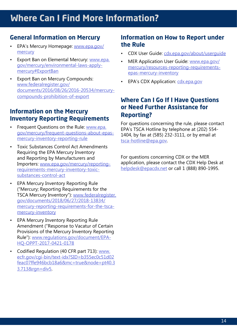# <span id="page-13-0"></span>**Where Can I Find More Information?**

### <span id="page-13-1"></span>**General Information on Mercury**

- EPA's Mercury Homepage: [www.epa.gov/](http://www.epa.gov/mercury) [mercury](http://www.epa.gov/mercury)
- Export Ban on Elemental Mercury: [www.epa.](http://www.epa.gov/mercury/environmental-laws-apply-mercury#ExportBan) [gov/mercury/environmental-laws-apply](http://www.epa.gov/mercury/environmental-laws-apply-mercury#ExportBan)[mercury#ExportBan](http://www.epa.gov/mercury/environmental-laws-apply-mercury#ExportBan)
- Export Ban on Mercury Compounds: [www.federalregister.gov/](https://www.federalregister.gov/documents/2016/08/26/2016-20534/mercury-compounds-prohibition-of-exp) [documents/2016/08/26/2016-20534/mercury](https://www.federalregister.gov/documents/2016/08/26/2016-20534/mercury-compounds-prohibition-of-exp)[compounds-prohibition-of-export](https://www.federalregister.gov/documents/2016/08/26/2016-20534/mercury-compounds-prohibition-of-exp)

### <span id="page-13-2"></span>**Information on the Mercury Inventory Reporting Requirements**

- Frequent Questions on the Rule: [www.epa.](https://www.epa.gov/mercury/frequent-questions-about-epas-mercury-inventory-reporting-rule) [gov/mercury/frequent-questions-about-epas](https://www.epa.gov/mercury/frequent-questions-about-epas-mercury-inventory-reporting-rule)[mercury-inventory-reporting-rule](https://www.epa.gov/mercury/frequent-questions-about-epas-mercury-inventory-reporting-rule)
- Toxic Substances Control Act Amendments Requiring the EPA Mercury Inventory and Reporting by Manufacturers and Importers: [www.epa.gov/mercury/reporting](https://www.epa.gov/mercury/reporting-requirements-mercury-inventory-toxic-substances-control-act)[requirements-mercury-inventory-toxic](https://www.epa.gov/mercury/reporting-requirements-mercury-inventory-toxic-substances-control-act)[substances-control-act](https://www.epa.gov/mercury/reporting-requirements-mercury-inventory-toxic-substances-control-act)
- EPA Mercury Inventory Reporting Rule ("Mercury; Reporting Requirements for the TSCA Mercury Inventory"): [www.federalregister.](https://www.federalregister.gov/documents/2018/06/27/2018-13834/mercury-reporting-requirements-for-t)  [gov/documents/2018/06/27/2018-13834/](https://www.federalregister.gov/documents/2018/06/27/2018-13834/mercury-reporting-requirements-for-t)  [mercury-reporting-requirements-for-the-tsca](https://www.federalregister.gov/documents/2018/06/27/2018-13834/mercury-reporting-requirements-for-t)[mercury-inventory](https://www.federalregister.gov/documents/2018/06/27/2018-13834/mercury-reporting-requirements-for-t)
- EPA Mercury Inventory Reporting Rule Amendment ("Response to Vacatur of Certain Provisions of the Mercury Inventory Reporting Rule"): [www.regulations.gov/document/EPA-](https://www.regulations.gov/document/EPA-HQ-OPPT-2017-0421-0178)[HQ-OPPT-2017-0421-0178](https://www.regulations.gov/document/EPA-HQ-OPPT-2017-0421-0178)
- Codified Regulation (40 CFR part 713): [www.](http://www.ecfr.gov/cgi-bin/text-idx?SID=b355ec0c51d02feac07ffe946bcb18a6&mc=true&node=pt40.33.713&rgn=div5)  [ecfr.gov/cgi-bin/text-idx?SID=b355ec0c51d02](http://www.ecfr.gov/cgi-bin/text-idx?SID=b355ec0c51d02feac07ffe946bcb18a6&mc=true&node=pt40.33.713&rgn=div5)  [feac07ffe946bcb18a6&mc=true&node=pt40.3](http://www.ecfr.gov/cgi-bin/text-idx?SID=b355ec0c51d02feac07ffe946bcb18a6&mc=true&node=pt40.33.713&rgn=div5) [3.713&rgn=div5.](http://www.ecfr.gov/cgi-bin/text-idx?SID=b355ec0c51d02feac07ffe946bcb18a6&mc=true&node=pt40.33.713&rgn=div5)

### <span id="page-13-3"></span>**Information on How to Report under the Rule**

- CDX User Guide: [cdx.epa.gov/about/userguide](https://cdx.epa.gov/about/userguide)
- MER Application User Guide: [www.epa.gov/](http://www.epa.gov/mercury/resources-reporting-requirements-epas-mercury-inventory)  [mercury/resources-reporting-requirements](http://www.epa.gov/mercury/resources-reporting-requirements-epas-mercury-inventory)[epas-mercury-inventory](http://www.epa.gov/mercury/resources-reporting-requirements-epas-mercury-inventory)
- <span id="page-13-4"></span>• EPA's CDX Application: [cdx.epa.gov](https://cdx.epa.gov/)

### **Where Can I Go If I Have Questions or Need Further Assistance for Reporting?**

For questions concerning the rule, please contact EPA's TSCA Hotline by telephone at (202) 554- 1404, by fax at (585) 232-3111, or by email at [tsca-hotline@epa.gov](mailto:tsca-hotline%40epa.gov?subject=Question%20about%20EPA%27s%20Mercury%20Inventory%20Rule).

For questions concerning CDX or the MER application, please contact the CDX Help Desk at [helpdesk@epacdx.net](mailto:helpdesk%40epacdx.net?subject=Question%20Concerning%20MER) or call 1 (888) 890-1995.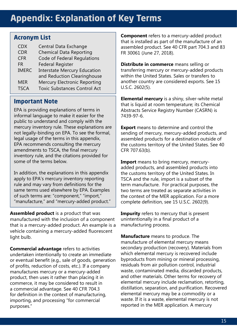## <span id="page-14-2"></span><span id="page-14-0"></span>**Appendix: Explanation of Key Terms**

#### **Acronym List**

| <b>CDX</b>   | Central Data Exchange               |
|--------------|-------------------------------------|
| <b>CDR</b>   | <b>Chemical Data Reporting</b>      |
| <b>CFR</b>   | <b>Code of Federal Requlations</b>  |
| <b>FR</b>    | <b>Federal Register</b>             |
| <b>IMERC</b> | <b>Interstate Mercury Education</b> |
|              | and Reduction Clearinghouse         |
| <b>MER</b>   | <b>Mercury Electronic Reporting</b> |
| <b>TSCA</b>  | <b>Toxic Substances Control Act</b> |

### **Important Note**

EPA is providing explanations of terms in informal language to make it easier for the public to understand and comply with the mercury inventory rule. These explanations are not legally-binding on EPA. To see the formal, legal usage of the terms in this appendix, EPA recommends consulting the mercury amendments to TSCA, the final mercury inventory rule, and the citations provided for some of the terms below.

In addition, the explanations in this appendix apply to EPA's mercury inventory reporting rule and may vary from definitions for the same terms used elsewhere by EPA. Examples of such terms are: "component," "import," "manufacture," and "mercury-added product."

**Assembled product** is a product that was manufactured with the inclusion of a component that is a mercury-added product. An example is a vehicle containing a mercury-added fluorescent light bulb.

**Commercial advantage** refers to activities undertaken intentionally to create an immediate or eventual benefit (e.g., sale of goods, generation of profits, reduction of costs, etc.). If a company manufactures mercury or a mercury-added product, then uses it rather than placing it in commerce, it may be considered to result in a commercial advantage. See 40 CFR 704.3 for definition in the context of manufacturing, importing, and processing "for commercial purposes."

**Component** refers to a mercury-added product that is installed as part of the manufacture of an assembled product. See 40 CFR part 704.3 and 83 FR 30061 (June 27, 2018).

**Distribute in commerce** means selling or transferring mercury or mercury-added products within the United States. Sales or transfers to another country are considered exports. See 15 U.S.C. 2602(5).

**Elemental mercury** is a shiny, silver-white metal that is liquid at room temperature; its Chemical Abstracts Service Registry Number (CASRN) is 7439-97-6.

**Export** means to determine and control the sending of mercury, mercury-added products, and assembled products for a destination outside of the customs territory of the United States. See 40 CFR 707.63(b).

**Import** means to bring mercury, mercuryadded products, and assembled products into the customs territory of the United States. In TSCA and the rule, import is a subset of the term manufacture. For practical purposes, the two terms are treated as separate activities in the context of the MER application. For a more complete definition, see 15 U.S.C. 2602(9).

**Impurity** refers to mercury that is present unintentionally in a final product of a manufacturing process.

<span id="page-14-1"></span>**Manufacture** means to produce. The manufacture of elemental mercury means secondary production (recovery). Materials from which elemental mercury is recovered include byproducts from mining or mineral processing, residuals from air pollution control, industrial waste, contaminated media, discarded products, and other materials. Other terms for recovery of elemental mercury include reclamation, retorting, distillation, separation, and purification. Recovered elemental mercury may be a commodity or a waste. If it is a waste, elemental mercury is not reported in the MER application. A mercury